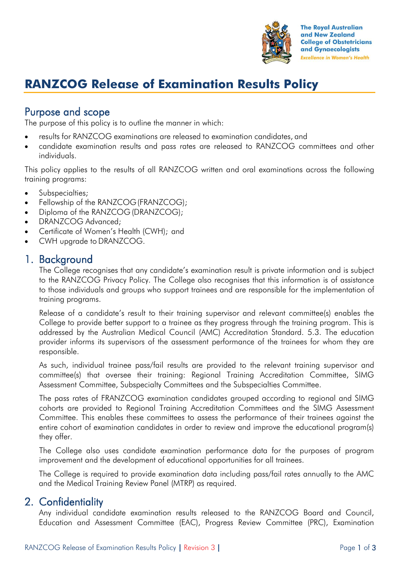

# **RANZCOG Release of Examination Results Policy**

# Purpose and scope

The purpose of this policy is to outline the manner in which:

- results for RANZCOG examinations are released to examination candidates, and
- candidate examination results and pass rates are released to RANZCOG committees and other individuals.

This policy applies to the results of all RANZCOG written and oral examinations across the following training programs:

- Subspecialties;
- Fellowship of the RANZCOG(FRANZCOG);
- Diploma of the RANZCOG (DRANZCOG);
- DRANZCOG Advanced;
- Certificate of Women's Health (CWH); and
- CWH upgrade to DRANZCOG.

### 1. Background

The College recognises that any candidate's examination result is private information and is subject to the RANZCOG Privacy Policy. The College also recognises that this information is of assistance to those individuals and groups who support trainees and are responsible for the implementation of training programs.

Release of a candidate's result to their training supervisor and relevant committee(s) enables the College to provide better support to a trainee as they progress through the training program. This is addressed by the Australian Medical Council (AMC) Accreditation Standard. 5.3. The education provider informs its supervisors of the assessment performance of the trainees for whom they are responsible.

As such, individual trainee pass/fail results are provided to the relevant training supervisor and committee(s) that oversee their training: Regional Training Accreditation Committee, SIMG Assessment Committee, Subspecialty Committees and the Subspecialties Committee.

The pass rates of FRANZCOG examination candidates grouped according to regional and SIMG cohorts are provided to Regional Training Accreditation Committees and the SIMG Assessment Committee. This enables these committees to assess the performance of their trainees against the entire cohort of examination candidates in order to review and improve the educational program(s) they offer.

The College also uses candidate examination performance data for the purposes of program improvement and the development of educational opportunities for all trainees.

The College is required to provide examination data including pass/fail rates annually to the AMC and the Medical Training Review Panel (MTRP) as required.

### 2. Confidentiality

Any individual candidate examination results released to the RANZCOG Board and Council, Education and Assessment Committee (EAC), Progress Review Committee (PRC), Examination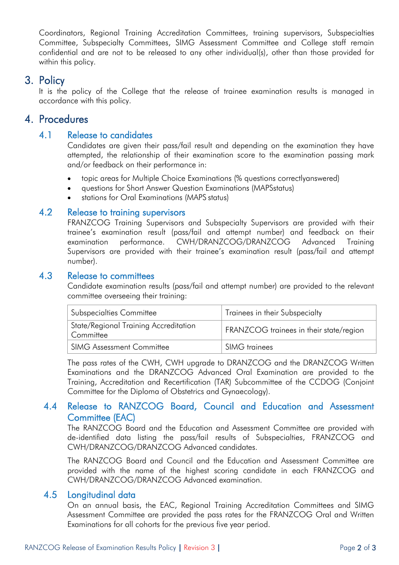Coordinators, Regional Training Accreditation Committees, training supervisors, Subspecialties Committee, Subspecialty Committees, SIMG Assessment Committee and College staff remain confidential and are not to be released to any other individual(s), other than those provided for within this policy.

## 3. Policy

It is the policy of the College that the release of trainee examination results is managed in accordance with this policy.

### 4. Procedures

#### 4.1 Release to candidates

Candidates are given their pass/fail result and depending on the examination they have attempted, the relationship of their examination score to the examination passing mark and/or feedback on their performance in:

- topic areas for Multiple Choice Examinations (% questions correctlyanswered)
- questions for Short Answer Question Examinations (MAPSstatus)
- stations for Oral Examinations (MAPS status)

#### 4.2 Release to training supervisors

FRANZCOG Training Supervisors and Subspecialty Supervisors are provided with their trainee's examination result (pass/fail and attempt number) and feedback on their examination performance. CWH/DRANZCOG/DRANZCOG Advanced Training Supervisors are provided with their trainee's examination result (pass/fail and attempt number).

#### 4.3 Release to committees

Candidate examination results (pass/fail and attempt number) are provided to the relevant committee overseeing their training:

| <b>Subspecialties Committee</b>                    | Trainees in their Subspecialty          |
|----------------------------------------------------|-----------------------------------------|
| State/Regional Training Accreditation<br>Committee | FRANZCOG trainees in their state/region |
| <b>SIMG Assessment Committee</b>                   | <b>SIMG</b> trainees                    |

The pass rates of the CWH, CWH upgrade to DRANZCOG and the DRANZCOG Written Examinations and the DRANZCOG Advanced Oral Examination are provided to the Training, Accreditation and Recertification (TAR) Subcommittee of the CCDOG (Conjoint Committee for the Diploma of Obstetrics and Gynaecology).

#### 4.4 Release to RANZCOG Board, Council and Education and Assessment Committee (EAC)

The RANZCOG Board and the Education and Assessment Committee are provided with de-identified data listing the pass/fail results of Subspecialties, FRANZCOG and CWH/DRANZCOG/DRANZCOG Advanced candidates.

The RANZCOG Board and Council and the Education and Assessment Committee are provided with the name of the highest scoring candidate in each FRANZCOG and CWH/DRANZCOG/DRANZCOG Advanced examination.

#### 4.5 Longitudinal data

On an annual basis, the EAC, Regional Training Accreditation Committees and SIMG Assessment Committee are provided the pass rates for the FRANZCOG Oral and Written Examinations for all cohorts for the previous five year period.